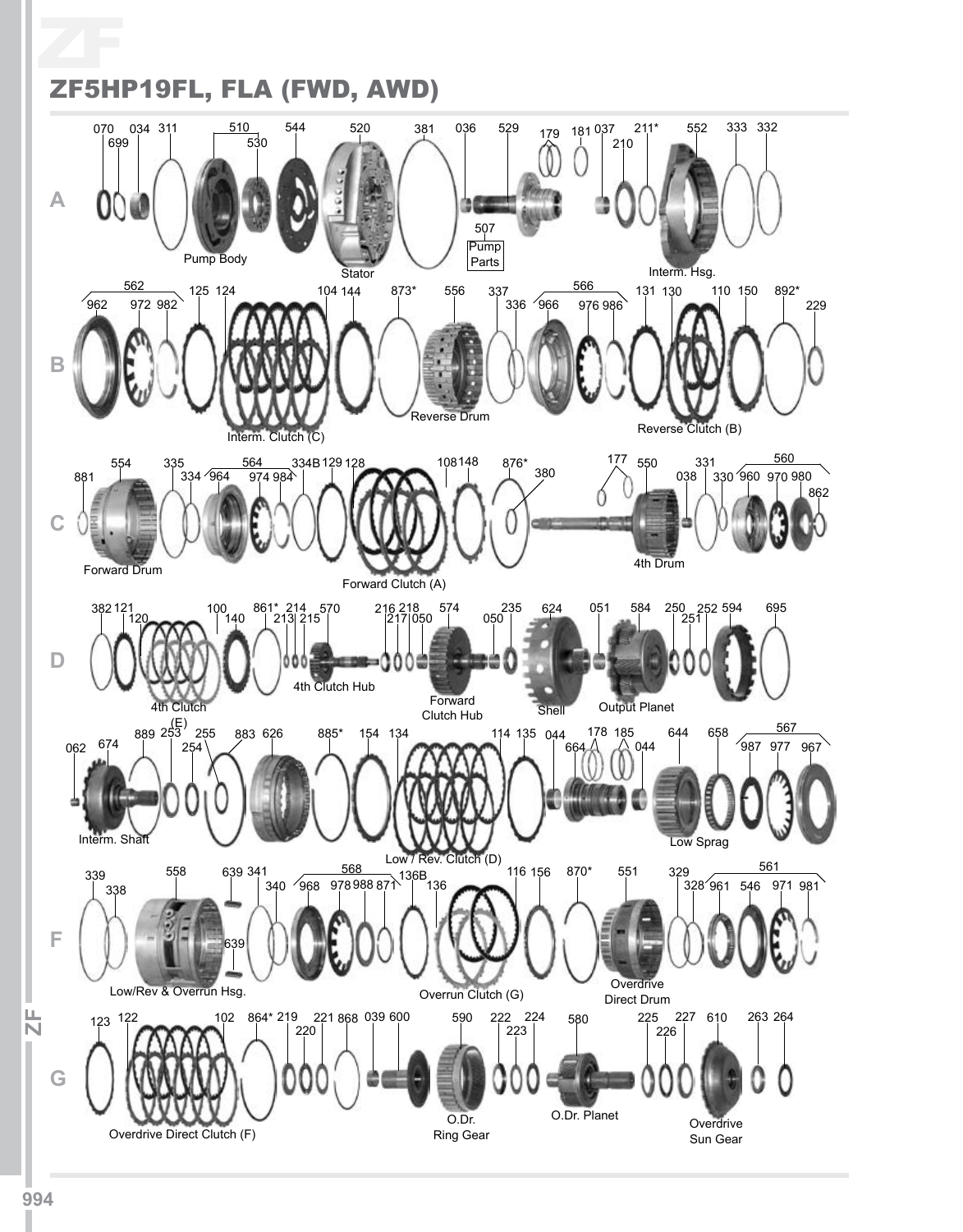ZF ZF5HP19FL, FLA (FWD, AWD)